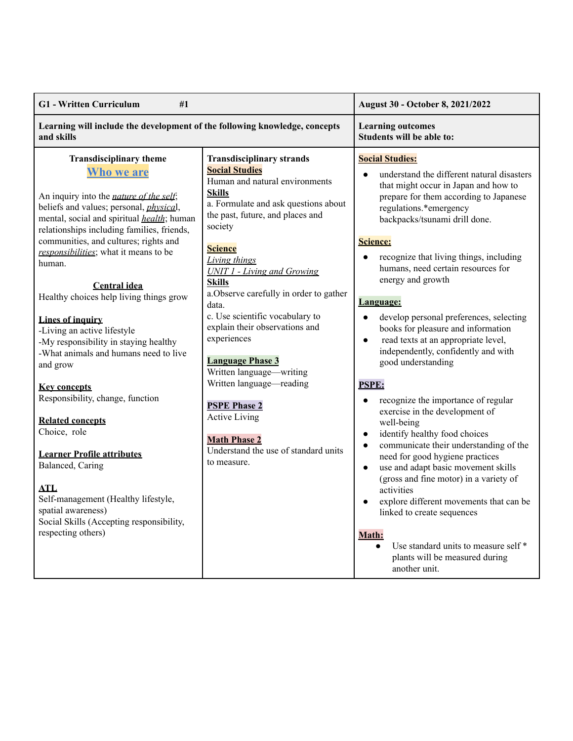| Learning will include the development of the following knowledge, concepts<br><b>Learning outcomes</b><br>Students will be able to:<br>and skills<br><b>Transdisciplinary theme</b><br><b>Transdisciplinary strands</b><br><b>Social Studies:</b><br><b>Social Studies</b><br>Who we are<br>Human and natural environments<br>that might occur in Japan and how to<br><b>Skills</b>                                                                                                                                                                                                                                                                                                                                                                                                                                                                                                                                                                                                                                                                                                                                                                                                                                                                                                                                                                                                                                                                                                                                                                                                                                                                                                                                                                                                                                                                                                                                                                                                                                                                                                                                                                                                                                              | <b>G1</b> - Written Curriculum<br>#1            |  | August 30 - October 8, 2021/2022                                                                                                                                          |
|----------------------------------------------------------------------------------------------------------------------------------------------------------------------------------------------------------------------------------------------------------------------------------------------------------------------------------------------------------------------------------------------------------------------------------------------------------------------------------------------------------------------------------------------------------------------------------------------------------------------------------------------------------------------------------------------------------------------------------------------------------------------------------------------------------------------------------------------------------------------------------------------------------------------------------------------------------------------------------------------------------------------------------------------------------------------------------------------------------------------------------------------------------------------------------------------------------------------------------------------------------------------------------------------------------------------------------------------------------------------------------------------------------------------------------------------------------------------------------------------------------------------------------------------------------------------------------------------------------------------------------------------------------------------------------------------------------------------------------------------------------------------------------------------------------------------------------------------------------------------------------------------------------------------------------------------------------------------------------------------------------------------------------------------------------------------------------------------------------------------------------------------------------------------------------------------------------------------------------|-------------------------------------------------|--|---------------------------------------------------------------------------------------------------------------------------------------------------------------------------|
|                                                                                                                                                                                                                                                                                                                                                                                                                                                                                                                                                                                                                                                                                                                                                                                                                                                                                                                                                                                                                                                                                                                                                                                                                                                                                                                                                                                                                                                                                                                                                                                                                                                                                                                                                                                                                                                                                                                                                                                                                                                                                                                                                                                                                                  |                                                 |  |                                                                                                                                                                           |
| a. Formulate and ask questions about<br>beliefs and values; personal, <i>physical</i> ,<br>regulations.*emergency<br>the past, future, and places and<br>mental, social and spiritual <i>health</i> ; human<br>backpacks/tsunami drill done.<br>society<br>relationships including families, friends,<br>communities, and cultures; rights and<br>Science:<br><b>Science</b><br>responsibilities; what it means to be<br>recognize that living things, including<br>$\bullet$<br><b>Living things</b><br>human.<br>humans, need certain resources for<br><b>UNIT 1 - Living and Growing</b><br>energy and growth<br><b>Skills</b><br><b>Central idea</b><br>a. Observe carefully in order to gather<br>Healthy choices help living things grow<br>Language:<br>data.<br>c. Use scientific vocabulary to<br>develop personal preferences, selecting<br>Lines of inquiry<br>explain their observations and<br>books for pleasure and information<br>-Living an active lifestyle<br>experiences<br>read texts at an appropriate level,<br>$\bullet$<br>-My responsibility in staying healthy<br>independently, confidently and with<br>-What animals and humans need to live<br><b>Language Phase 3</b><br>good understanding<br>and grow<br>Written language—writing<br>Written language—reading<br><b>PSPE:</b><br><b>Key concepts</b><br>Responsibility, change, function<br>recognize the importance of regular<br>$\bullet$<br><b>PSPE Phase 2</b><br>exercise in the development of<br><b>Active Living</b><br><b>Related concepts</b><br>well-being<br>Choice, role<br>identify healthy food choices<br>$\bullet$<br><b>Math Phase 2</b><br>$\bullet$<br>Understand the use of standard units<br><b>Learner Profile attributes</b><br>need for good hygiene practices<br>to measure.<br>Balanced, Caring<br>use and adapt basic movement skills<br>$\bullet$<br>(gross and fine motor) in a variety of<br><b>ATL</b><br>activities<br>Self-management (Healthy lifestyle,<br>$\bullet$<br>spatial awareness)<br>linked to create sequences<br>Social Skills (Accepting responsibility,<br>respecting others)<br>Math:<br>Use standard units to measure self*<br>$\bullet$<br>plants will be measured during<br>another unit. | An inquiry into the <i>nature of the self</i> ; |  | understand the different natural disasters<br>prepare for them according to Japanese<br>communicate their understanding of the<br>explore different movements that can be |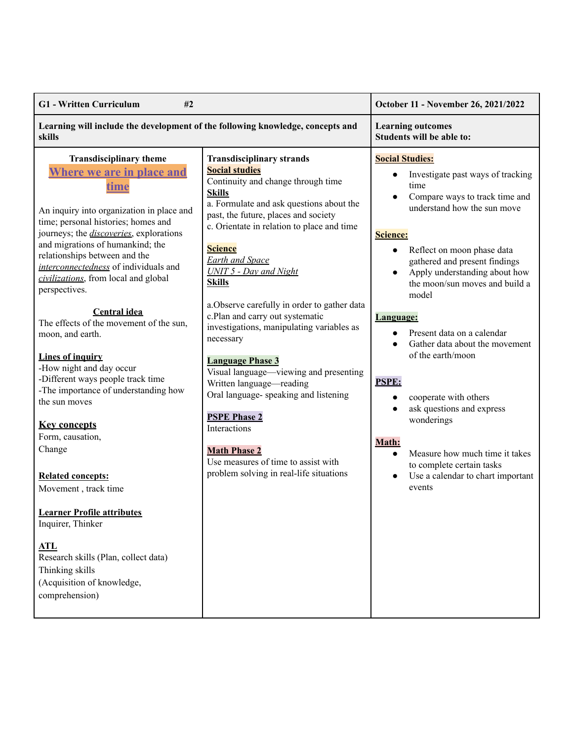| <b>G1</b> - Written Curriculum                                                                                                                                                                                                                                                                                                                                                                                                                                                                                                                                                                                                                                                                                                                                                                                                                                                                                                                                                                   |                                                                                                                                                                                                                                                                                                                                                                                                                                                                                                                                                                                                                                                                                                                       | October 11 - November 26, 2021/2022                                                                                                                                                                                                                                                                                                                                                                                                                                                                                                                                                                                                |
|--------------------------------------------------------------------------------------------------------------------------------------------------------------------------------------------------------------------------------------------------------------------------------------------------------------------------------------------------------------------------------------------------------------------------------------------------------------------------------------------------------------------------------------------------------------------------------------------------------------------------------------------------------------------------------------------------------------------------------------------------------------------------------------------------------------------------------------------------------------------------------------------------------------------------------------------------------------------------------------------------|-----------------------------------------------------------------------------------------------------------------------------------------------------------------------------------------------------------------------------------------------------------------------------------------------------------------------------------------------------------------------------------------------------------------------------------------------------------------------------------------------------------------------------------------------------------------------------------------------------------------------------------------------------------------------------------------------------------------------|------------------------------------------------------------------------------------------------------------------------------------------------------------------------------------------------------------------------------------------------------------------------------------------------------------------------------------------------------------------------------------------------------------------------------------------------------------------------------------------------------------------------------------------------------------------------------------------------------------------------------------|
| Learning will include the development of the following knowledge, concepts and<br>skills                                                                                                                                                                                                                                                                                                                                                                                                                                                                                                                                                                                                                                                                                                                                                                                                                                                                                                         |                                                                                                                                                                                                                                                                                                                                                                                                                                                                                                                                                                                                                                                                                                                       | <b>Learning outcomes</b><br>Students will be able to:                                                                                                                                                                                                                                                                                                                                                                                                                                                                                                                                                                              |
| <b>Transdisciplinary theme</b><br><b>Where we are in place and</b><br>time<br><b>Skills</b><br>An inquiry into organization in place and<br>time; personal histories; homes and<br>journeys; the <i>discoveries</i> , explorations<br>and migrations of humankind; the<br><b>Science</b><br>relationships between and the<br>interconnectedness of individuals and<br>civilizations, from local and global<br><b>Skills</b><br>perspectives.<br><b>Central idea</b><br>The effects of the movement of the sun,<br>moon, and earth.<br>necessary<br><b>Lines of inquiry</b><br>-How night and day occur<br>-Different ways people track time<br>-The importance of understanding how<br>the sun moves<br><b>Key concepts</b><br>Form, causation,<br>Change<br><b>Related concepts:</b><br>Movement, track time<br><b>Learner Profile attributes</b><br>Inquirer, Thinker<br><b>ATL</b><br>Research skills (Plan, collect data)<br>Thinking skills<br>(Acquisition of knowledge,<br>comprehension) | <b>Transdisciplinary strands</b><br><b>Social studies</b><br>Continuity and change through time<br>a. Formulate and ask questions about the<br>past, the future, places and society<br>c. Orientate in relation to place and time<br><b>Earth and Space</b><br><b>UNIT 5 - Day and Night</b><br>a. Observe carefully in order to gather data<br>c.Plan and carry out systematic<br>investigations, manipulating variables as<br><b>Language Phase 3</b><br>Visual language—viewing and presenting<br>Written language—reading<br>Oral language-speaking and listening<br><b>PSPE Phase 2</b><br>Interactions<br><b>Math Phase 2</b><br>Use measures of time to assist with<br>problem solving in real-life situations | <b>Social Studies:</b><br>Investigate past ways of tracking<br>time<br>Compare ways to track time and<br>understand how the sun move<br>Science:<br>Reflect on moon phase data<br>$\bullet$<br>gathered and present findings<br>Apply understanding about how<br>the moon/sun moves and build a<br>model<br>Language:<br>Present data on a calendar<br>Gather data about the movement<br>of the earth/moon<br><b>PSPE:</b><br>cooperate with others<br>ask questions and express<br>wonderings<br>Math:<br>Measure how much time it takes<br>$\bullet$<br>to complete certain tasks<br>Use a calendar to chart important<br>events |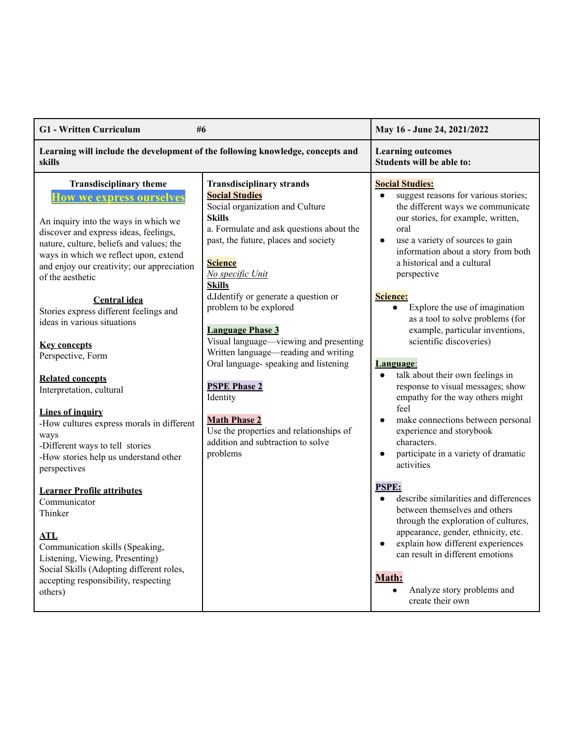| <b>G1</b> - Written Curriculum<br>#6                                                                                                                                                                                                                                                               |                                                                                                                                                                                                                                                          | May 16 - June 24, 2021/2022                                                                                                                                                                                                                                                                                     |
|----------------------------------------------------------------------------------------------------------------------------------------------------------------------------------------------------------------------------------------------------------------------------------------------------|----------------------------------------------------------------------------------------------------------------------------------------------------------------------------------------------------------------------------------------------------------|-----------------------------------------------------------------------------------------------------------------------------------------------------------------------------------------------------------------------------------------------------------------------------------------------------------------|
| Learning will include the development of the following knowledge, concepts and<br>skills                                                                                                                                                                                                           |                                                                                                                                                                                                                                                          | <b>Learning outcomes</b><br>Students will be able to:                                                                                                                                                                                                                                                           |
| <b>Transdisciplinary theme</b><br>low we express ourselves<br>An inquiry into the ways in which we<br>discover and express ideas, feelings,<br>nature, culture, beliefs and values; the<br>ways in which we reflect upon, extend<br>and enjoy our creativity; our appreciation<br>of the aesthetic | <b>Transdisciplinary strands</b><br><b>Social Studies</b><br>Social organization and Culture<br><b>Skills</b><br>a. Formulate and ask questions about the<br>past, the future, places and society<br><b>Science</b><br>No specific Unit<br><b>Skills</b> | <b>Social Studies:</b><br>suggest reasons for various stories;<br>$\bullet$<br>the different ways we communicate<br>our stories, for example, written,<br>oral<br>use a variety of sources to gain<br>$\bullet$<br>information about a story from both<br>a historical and a cultural<br>perspective            |
| <b>Central idea</b><br>Stories express different feelings and<br>ideas in various situations<br><b>Key concepts</b>                                                                                                                                                                                | d.Identify or generate a question or<br>problem to be explored<br><b>Language Phase 3</b><br>Visual language-viewing and presenting<br>Written language—reading and writing                                                                              | Science:<br>Explore the use of imagination<br>$\bullet$<br>as a tool to solve problems (for<br>example, particular inventions,<br>scientific discoveries)                                                                                                                                                       |
| Perspective, Form<br><b>Related concepts</b><br>Interpretation, cultural                                                                                                                                                                                                                           | Oral language-speaking and listening<br><b>PSPE Phase 2</b><br>Identity                                                                                                                                                                                  | <u>Language:</u><br>talk about their own feelings in<br>$\bullet$<br>response to visual messages; show<br>empathy for the way others might                                                                                                                                                                      |
| Lines of inquiry<br>-How cultures express morals in different<br>ways<br>-Different ways to tell stories<br>-How stories help us understand other<br>perspectives                                                                                                                                  | <b>Math Phase 2</b><br>Use the properties and relationships of<br>addition and subtraction to solve<br>problems                                                                                                                                          | feel<br>make connections between personal<br>$\bullet$<br>experience and storybook<br>characters.<br>participate in a variety of dramatic<br>$\bullet$<br>activities                                                                                                                                            |
| <b>Learner Profile attributes</b><br>Communicator<br>Thinker<br><b>ATL</b><br>Communication skills (Speaking,<br>Listening, Viewing, Presenting)<br>Social Skills (Adopting different roles,<br>accepting responsibility, respecting<br>others)                                                    |                                                                                                                                                                                                                                                          | PSPE:<br>describe similarities and differences<br>between themselves and others<br>through the exploration of cultures,<br>appearance, gender, ethnicity, etc.<br>explain how different experiences<br>$\bullet$<br>can result in different emotions<br>Math:<br>Analyze story problems and<br>create their own |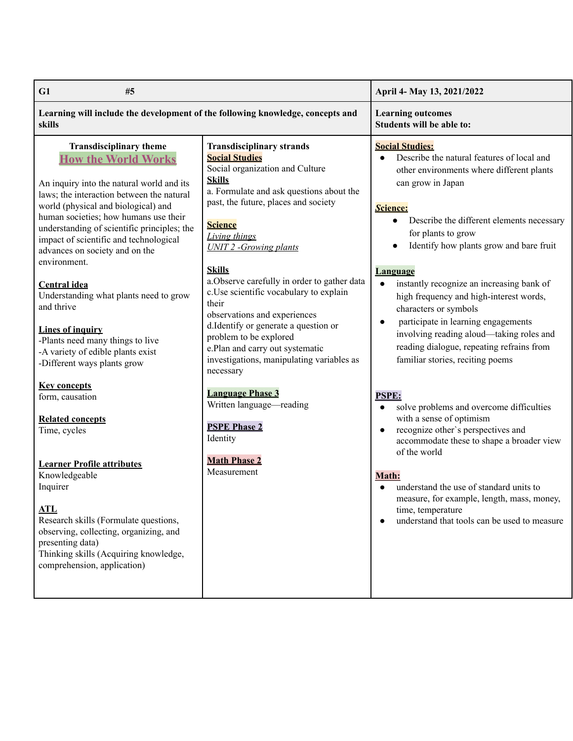| G1<br>#5                                                                                                                                                                                                                                                                                                                                                                                                                                                                                                                                                                                                                                                                                                                                                                                                                                                                                                                 |                                                                                                                                                                                                                                                                                                                                                                                                                                                                                                                                                                                                                                                                                                                                  | April 4- May 13, 2021/2022                                                                                                                                                                                                                                                                                                                                                                                                                                                                                                                                                                                                                                                                                                                                                                                                                                                                                                                                                                                                |
|--------------------------------------------------------------------------------------------------------------------------------------------------------------------------------------------------------------------------------------------------------------------------------------------------------------------------------------------------------------------------------------------------------------------------------------------------------------------------------------------------------------------------------------------------------------------------------------------------------------------------------------------------------------------------------------------------------------------------------------------------------------------------------------------------------------------------------------------------------------------------------------------------------------------------|----------------------------------------------------------------------------------------------------------------------------------------------------------------------------------------------------------------------------------------------------------------------------------------------------------------------------------------------------------------------------------------------------------------------------------------------------------------------------------------------------------------------------------------------------------------------------------------------------------------------------------------------------------------------------------------------------------------------------------|---------------------------------------------------------------------------------------------------------------------------------------------------------------------------------------------------------------------------------------------------------------------------------------------------------------------------------------------------------------------------------------------------------------------------------------------------------------------------------------------------------------------------------------------------------------------------------------------------------------------------------------------------------------------------------------------------------------------------------------------------------------------------------------------------------------------------------------------------------------------------------------------------------------------------------------------------------------------------------------------------------------------------|
| Learning will include the development of the following knowledge, concepts and<br>skills                                                                                                                                                                                                                                                                                                                                                                                                                                                                                                                                                                                                                                                                                                                                                                                                                                 |                                                                                                                                                                                                                                                                                                                                                                                                                                                                                                                                                                                                                                                                                                                                  | <b>Learning outcomes</b><br>Students will be able to:                                                                                                                                                                                                                                                                                                                                                                                                                                                                                                                                                                                                                                                                                                                                                                                                                                                                                                                                                                     |
| <b>Transdisciplinary theme</b><br><b>How the World Works</b><br>An inquiry into the natural world and its<br>laws; the interaction between the natural<br>world (physical and biological) and<br>human societies; how humans use their<br>understanding of scientific principles; the<br>impact of scientific and technological<br>advances on society and on the<br>environment.<br><b>Central idea</b><br>Understanding what plants need to grow<br>and thrive<br><b>Lines of inquiry</b><br>-Plants need many things to live<br>-A variety of edible plants exist<br>-Different ways plants grow<br><b>Key concepts</b><br>form, causation<br><b>Related concepts</b><br>Time, cycles<br><b>Learner Profile attributes</b><br>Knowledgeable<br>Inquirer<br><b>ATL</b><br>Research skills (Formulate questions,<br>observing, collecting, organizing, and<br>presenting data)<br>Thinking skills (Acquiring knowledge, | <b>Transdisciplinary strands</b><br><b>Social Studies</b><br>Social organization and Culture<br><b>Skills</b><br>a. Formulate and ask questions about the<br>past, the future, places and society<br><b>Science</b><br><b>Living things</b><br><b>UNIT 2 - Growing plants</b><br><b>Skills</b><br>a. Observe carefully in order to gather data<br>c.Use scientific vocabulary to explain<br>their<br>observations and experiences<br>d.Identify or generate a question or<br>problem to be explored<br>e.Plan and carry out systematic<br>investigations, manipulating variables as<br>necessary<br><b>Language Phase 3</b><br>Written language—reading<br><b>PSPE Phase 2</b><br>Identity<br><b>Math Phase 2</b><br>Measurement | <b>Social Studies:</b><br>Describe the natural features of local and<br>$\bullet$<br>other environments where different plants<br>can grow in Japan<br><b>Science:</b><br>Describe the different elements necessary<br>$\bullet$<br>for plants to grow<br>Identify how plants grow and bare fruit<br><b>Language</b><br>instantly recognize an increasing bank of<br>high frequency and high-interest words,<br>characters or symbols<br>participate in learning engagements<br>$\bullet$<br>involving reading aloud-taking roles and<br>reading dialogue, repeating refrains from<br>familiar stories, reciting poems<br><b>PSPE:</b><br>solve problems and overcome difficulties<br>with a sense of optimism<br>recognize other's perspectives and<br>$\bullet$<br>accommodate these to shape a broader view<br>of the world<br><b>Math:</b><br>understand the use of standard units to<br>measure, for example, length, mass, money,<br>time, temperature<br>understand that tools can be used to measure<br>$\bullet$ |
| comprehension, application)                                                                                                                                                                                                                                                                                                                                                                                                                                                                                                                                                                                                                                                                                                                                                                                                                                                                                              |                                                                                                                                                                                                                                                                                                                                                                                                                                                                                                                                                                                                                                                                                                                                  |                                                                                                                                                                                                                                                                                                                                                                                                                                                                                                                                                                                                                                                                                                                                                                                                                                                                                                                                                                                                                           |
|                                                                                                                                                                                                                                                                                                                                                                                                                                                                                                                                                                                                                                                                                                                                                                                                                                                                                                                          |                                                                                                                                                                                                                                                                                                                                                                                                                                                                                                                                                                                                                                                                                                                                  |                                                                                                                                                                                                                                                                                                                                                                                                                                                                                                                                                                                                                                                                                                                                                                                                                                                                                                                                                                                                                           |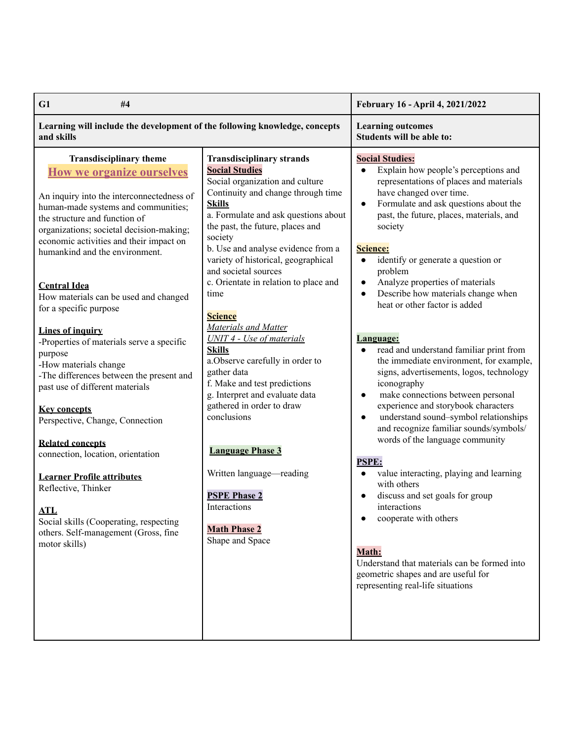| G1<br>#4                                                                                                                                                                                                                                                                                                                                                                                                                                                                                                                                                                                                                                                                                                                                                                                                                                                                                              |                                                                                                                                                                                                                                                                                                                                                                                                                                                                                                                                                                                                                                                                                                                                                                                                          | February 16 - April 4, 2021/2022                                                                                                                                                                                                                                                                                                                                                                                                                                                                                                                                                                                                                                                                                                                                                                                                                                                                                                                                                                                                                                                                                                                                                                                |
|-------------------------------------------------------------------------------------------------------------------------------------------------------------------------------------------------------------------------------------------------------------------------------------------------------------------------------------------------------------------------------------------------------------------------------------------------------------------------------------------------------------------------------------------------------------------------------------------------------------------------------------------------------------------------------------------------------------------------------------------------------------------------------------------------------------------------------------------------------------------------------------------------------|----------------------------------------------------------------------------------------------------------------------------------------------------------------------------------------------------------------------------------------------------------------------------------------------------------------------------------------------------------------------------------------------------------------------------------------------------------------------------------------------------------------------------------------------------------------------------------------------------------------------------------------------------------------------------------------------------------------------------------------------------------------------------------------------------------|-----------------------------------------------------------------------------------------------------------------------------------------------------------------------------------------------------------------------------------------------------------------------------------------------------------------------------------------------------------------------------------------------------------------------------------------------------------------------------------------------------------------------------------------------------------------------------------------------------------------------------------------------------------------------------------------------------------------------------------------------------------------------------------------------------------------------------------------------------------------------------------------------------------------------------------------------------------------------------------------------------------------------------------------------------------------------------------------------------------------------------------------------------------------------------------------------------------------|
| Learning will include the development of the following knowledge, concepts<br>and skills                                                                                                                                                                                                                                                                                                                                                                                                                                                                                                                                                                                                                                                                                                                                                                                                              |                                                                                                                                                                                                                                                                                                                                                                                                                                                                                                                                                                                                                                                                                                                                                                                                          | <b>Learning outcomes</b><br>Students will be able to:                                                                                                                                                                                                                                                                                                                                                                                                                                                                                                                                                                                                                                                                                                                                                                                                                                                                                                                                                                                                                                                                                                                                                           |
| <b>Transdisciplinary theme</b><br><b>How we organize ourselves</b><br>An inquiry into the interconnectedness of<br>human-made systems and communities;<br>the structure and function of<br>organizations; societal decision-making;<br>economic activities and their impact on<br>humankind and the environment.<br><b>Central Idea</b><br>How materials can be used and changed<br>for a specific purpose<br>Lines of inquiry<br>-Properties of materials serve a specific<br>purpose<br>-How materials change<br>-The differences between the present and<br>past use of different materials<br><b>Key concepts</b><br>Perspective, Change, Connection<br><b>Related concepts</b><br>connection, location, orientation<br><b>Learner Profile attributes</b><br>Reflective, Thinker<br><b>ATL</b><br>Social skills (Cooperating, respecting<br>others. Self-management (Gross, fine<br>motor skills) | <b>Transdisciplinary strands</b><br><b>Social Studies</b><br>Social organization and culture<br>Continuity and change through time<br><b>Skills</b><br>a. Formulate and ask questions about<br>the past, the future, places and<br>society<br>b. Use and analyse evidence from a<br>variety of historical, geographical<br>and societal sources<br>c. Orientate in relation to place and<br>time<br><b>Science</b><br>Materials and Matter<br><b>UNIT 4 - Use of materials</b><br><b>Skills</b><br>a. Observe carefully in order to<br>gather data<br>f. Make and test predictions<br>g. Interpret and evaluate data<br>gathered in order to draw<br>conclusions<br><b>Language Phase 3</b><br>Written language-reading<br><b>PSPE Phase 2</b><br>Interactions<br><b>Math Phase 2</b><br>Shape and Space | <b>Social Studies:</b><br>Explain how people's perceptions and<br>$\bullet$<br>representations of places and materials<br>have changed over time.<br>Formulate and ask questions about the<br>$\bullet$<br>past, the future, places, materials, and<br>society<br>Science:<br>identify or generate a question or<br>$\bullet$<br>problem<br>Analyze properties of materials<br>$\bullet$<br>Describe how materials change when<br>$\bullet$<br>heat or other factor is added<br><u>Language:</u><br>read and understand familiar print from<br>$\bullet$<br>the immediate environment, for example,<br>signs, advertisements, logos, technology<br>iconography<br>make connections between personal<br>$\bullet$<br>experience and storybook characters<br>understand sound-symbol relationships<br>$\bullet$<br>and recognize familiar sounds/symbols/<br>words of the language community<br><b>PSPE:</b><br>value interacting, playing and learning<br>$\bullet$<br>with others<br>discuss and set goals for group<br>$\bullet$<br>interactions<br>cooperate with others<br>Math:<br>Understand that materials can be formed into<br>geometric shapes and are useful for<br>representing real-life situations |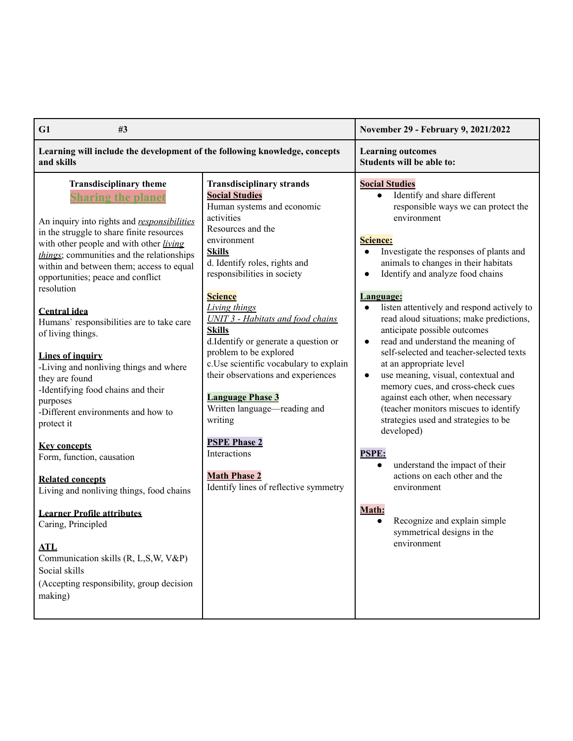| G1<br>#3                                                                                                                                                                                                                                                                                                                                                                                                                                                                                                                                                                                                                                                                                                                                                                                                                                                                                                                                    |                                                                                                                                                                                                                                                                                                                                                                                                                                                                                                                                                                                                                                                                  | November 29 - February 9, 2021/2022                                                                                                                                                                                                                                                                                                                                                                                                                                                                                                                                                                                                                                                                                                                                                                                                                                                                                                                              |
|---------------------------------------------------------------------------------------------------------------------------------------------------------------------------------------------------------------------------------------------------------------------------------------------------------------------------------------------------------------------------------------------------------------------------------------------------------------------------------------------------------------------------------------------------------------------------------------------------------------------------------------------------------------------------------------------------------------------------------------------------------------------------------------------------------------------------------------------------------------------------------------------------------------------------------------------|------------------------------------------------------------------------------------------------------------------------------------------------------------------------------------------------------------------------------------------------------------------------------------------------------------------------------------------------------------------------------------------------------------------------------------------------------------------------------------------------------------------------------------------------------------------------------------------------------------------------------------------------------------------|------------------------------------------------------------------------------------------------------------------------------------------------------------------------------------------------------------------------------------------------------------------------------------------------------------------------------------------------------------------------------------------------------------------------------------------------------------------------------------------------------------------------------------------------------------------------------------------------------------------------------------------------------------------------------------------------------------------------------------------------------------------------------------------------------------------------------------------------------------------------------------------------------------------------------------------------------------------|
| Learning will include the development of the following knowledge, concepts<br>and skills                                                                                                                                                                                                                                                                                                                                                                                                                                                                                                                                                                                                                                                                                                                                                                                                                                                    |                                                                                                                                                                                                                                                                                                                                                                                                                                                                                                                                                                                                                                                                  | <b>Learning outcomes</b><br>Students will be able to:                                                                                                                                                                                                                                                                                                                                                                                                                                                                                                                                                                                                                                                                                                                                                                                                                                                                                                            |
| <b>Transdisciplinary theme</b><br><b>Sharing the planet</b><br>An inquiry into rights and responsibilities<br>in the struggle to share finite resources<br>with other people and with other living<br>things; communities and the relationships<br>within and between them; access to equal<br>opportunities; peace and conflict<br>resolution<br><b>Central idea</b><br>Humans' responsibilities are to take care<br>of living things.<br>Lines of inquiry<br>-Living and nonliving things and where<br>they are found<br>-Identifying food chains and their<br>purposes<br>-Different environments and how to<br>protect it<br><b>Key concepts</b><br>Form, function, causation<br><b>Related concepts</b><br>Living and nonliving things, food chains<br><b>Learner Profile attributes</b><br>Caring, Principled<br>ATL<br>Communication skills (R, L,S,W, V&P)<br>Social skills<br>(Accepting responsibility, group decision<br>making) | <b>Transdisciplinary strands</b><br><b>Social Studies</b><br>Human systems and economic<br>activities<br>Resources and the<br>environment<br><b>Skills</b><br>d. Identify roles, rights and<br>responsibilities in society<br><b>Science</b><br><b>Living things</b><br><b>UNIT 3 - Habitats and food chains</b><br><b>Skills</b><br>d.Identify or generate a question or<br>problem to be explored<br>c.Use scientific vocabulary to explain<br>their observations and experiences<br><b>Language Phase 3</b><br>Written language—reading and<br>writing<br><b>PSPE Phase 2</b><br>Interactions<br><b>Math Phase 2</b><br>Identify lines of reflective symmetry | <b>Social Studies</b><br>Identify and share different<br>responsible ways we can protect the<br>environment<br><b>Science:</b><br>Investigate the responses of plants and<br>animals to changes in their habitats<br>Identify and analyze food chains<br>$\bullet$<br><b>Language:</b><br>listen attentively and respond actively to<br>read aloud situations; make predictions,<br>anticipate possible outcomes<br>read and understand the meaning of<br>$\bullet$<br>self-selected and teacher-selected texts<br>at an appropriate level<br>use meaning, visual, contextual and<br>$\bullet$<br>memory cues, and cross-check cues<br>against each other, when necessary<br>(teacher monitors miscues to identify<br>strategies used and strategies to be<br>developed)<br><b>PSPE:</b><br>understand the impact of their<br>actions on each other and the<br>environment<br>Math:<br>Recognize and explain simple<br>symmetrical designs in the<br>environment |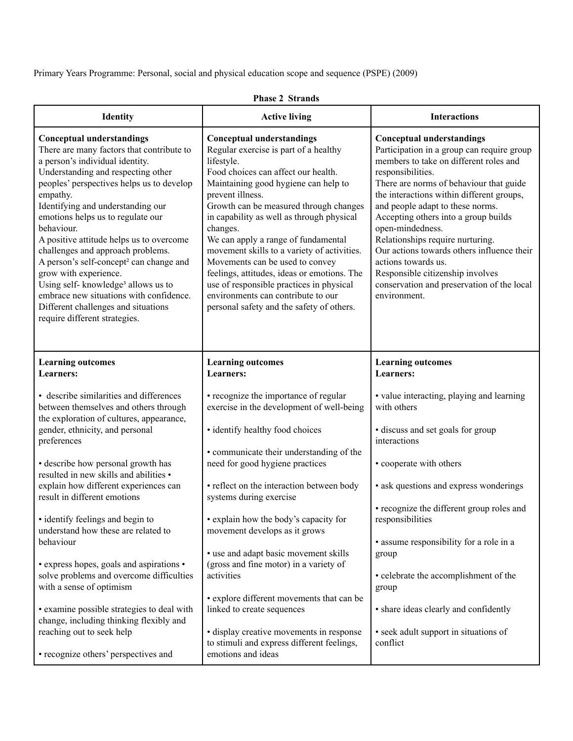Primary Years Programme: Personal, social and physical education scope and sequence (PSPE) (2009)

| <b>Identity</b>                                                                                                                                                                                                                                                                                                                                                                                                                                                                                                                                                                                                                               | <b>Active living</b>                                                                                                                                                                                                                                                                                                                                                                                                                                                                                                                                                                                 | <b>Interactions</b>                                                                                                                                                                                                                                                                                                                                                                                                                                                                                                                              |
|-----------------------------------------------------------------------------------------------------------------------------------------------------------------------------------------------------------------------------------------------------------------------------------------------------------------------------------------------------------------------------------------------------------------------------------------------------------------------------------------------------------------------------------------------------------------------------------------------------------------------------------------------|------------------------------------------------------------------------------------------------------------------------------------------------------------------------------------------------------------------------------------------------------------------------------------------------------------------------------------------------------------------------------------------------------------------------------------------------------------------------------------------------------------------------------------------------------------------------------------------------------|--------------------------------------------------------------------------------------------------------------------------------------------------------------------------------------------------------------------------------------------------------------------------------------------------------------------------------------------------------------------------------------------------------------------------------------------------------------------------------------------------------------------------------------------------|
| <b>Conceptual understandings</b><br>There are many factors that contribute to<br>a person's individual identity.<br>Understanding and respecting other<br>peoples' perspectives helps us to develop<br>empathy.<br>Identifying and understanding our<br>emotions helps us to regulate our<br>behaviour.<br>A positive attitude helps us to overcome<br>challenges and approach problems.<br>A person's self-concept <sup>2</sup> can change and<br>grow with experience.<br>Using self-knowledge <sup>3</sup> allows us to<br>embrace new situations with confidence.<br>Different challenges and situations<br>require different strategies. | <b>Conceptual understandings</b><br>Regular exercise is part of a healthy<br>lifestyle.<br>Food choices can affect our health.<br>Maintaining good hygiene can help to<br>prevent illness.<br>Growth can be measured through changes<br>in capability as well as through physical<br>changes.<br>We can apply a range of fundamental<br>movement skills to a variety of activities.<br>Movements can be used to convey<br>feelings, attitudes, ideas or emotions. The<br>use of responsible practices in physical<br>environments can contribute to our<br>personal safety and the safety of others. | <b>Conceptual understandings</b><br>Participation in a group can require group<br>members to take on different roles and<br>responsibilities.<br>There are norms of behaviour that guide<br>the interactions within different groups,<br>and people adapt to these norms.<br>Accepting others into a group builds<br>open-mindedness.<br>Relationships require nurturing.<br>Our actions towards others influence their<br>actions towards us.<br>Responsible citizenship involves<br>conservation and preservation of the local<br>environment. |
| <b>Learning outcomes</b><br>Learners:                                                                                                                                                                                                                                                                                                                                                                                                                                                                                                                                                                                                         | <b>Learning outcomes</b><br><b>Learners:</b>                                                                                                                                                                                                                                                                                                                                                                                                                                                                                                                                                         | <b>Learning outcomes</b><br>Learners:                                                                                                                                                                                                                                                                                                                                                                                                                                                                                                            |
| • describe similarities and differences<br>between themselves and others through<br>the exploration of cultures, appearance,<br>gender, ethnicity, and personal<br>preferences                                                                                                                                                                                                                                                                                                                                                                                                                                                                | • recognize the importance of regular<br>exercise in the development of well-being<br>· identify healthy food choices                                                                                                                                                                                                                                                                                                                                                                                                                                                                                | • value interacting, playing and learning<br>with others<br>· discuss and set goals for group<br>interactions                                                                                                                                                                                                                                                                                                                                                                                                                                    |
| • describe how personal growth has<br>resulted in new skills and abilities •                                                                                                                                                                                                                                                                                                                                                                                                                                                                                                                                                                  | • communicate their understanding of the<br>need for good hygiene practices                                                                                                                                                                                                                                                                                                                                                                                                                                                                                                                          | • cooperate with others                                                                                                                                                                                                                                                                                                                                                                                                                                                                                                                          |
| explain how different experiences can<br>result in different emotions                                                                                                                                                                                                                                                                                                                                                                                                                                                                                                                                                                         | • reflect on the interaction between body<br>systems during exercise                                                                                                                                                                                                                                                                                                                                                                                                                                                                                                                                 | • ask questions and express wonderings                                                                                                                                                                                                                                                                                                                                                                                                                                                                                                           |
| • identify feelings and begin to<br>understand how these are related to                                                                                                                                                                                                                                                                                                                                                                                                                                                                                                                                                                       | • explain how the body's capacity for<br>movement develops as it grows                                                                                                                                                                                                                                                                                                                                                                                                                                                                                                                               | • recognize the different group roles and<br>responsibilities                                                                                                                                                                                                                                                                                                                                                                                                                                                                                    |
| behaviour<br>• express hopes, goals and aspirations •<br>solve problems and overcome difficulties<br>with a sense of optimism                                                                                                                                                                                                                                                                                                                                                                                                                                                                                                                 | • use and adapt basic movement skills<br>(gross and fine motor) in a variety of<br>activities<br>• explore different movements that can be                                                                                                                                                                                                                                                                                                                                                                                                                                                           | • assume responsibility for a role in a<br>group<br>• celebrate the accomplishment of the<br>group                                                                                                                                                                                                                                                                                                                                                                                                                                               |
| • examine possible strategies to deal with<br>change, including thinking flexibly and                                                                                                                                                                                                                                                                                                                                                                                                                                                                                                                                                         | linked to create sequences<br>· display creative movements in response                                                                                                                                                                                                                                                                                                                                                                                                                                                                                                                               | • share ideas clearly and confidently                                                                                                                                                                                                                                                                                                                                                                                                                                                                                                            |
| reaching out to seek help<br>• recognize others' perspectives and                                                                                                                                                                                                                                                                                                                                                                                                                                                                                                                                                                             | to stimuli and express different feelings,<br>emotions and ideas                                                                                                                                                                                                                                                                                                                                                                                                                                                                                                                                     | • seek adult support in situations of<br>conflict                                                                                                                                                                                                                                                                                                                                                                                                                                                                                                |

## **Phase 2 Strands**